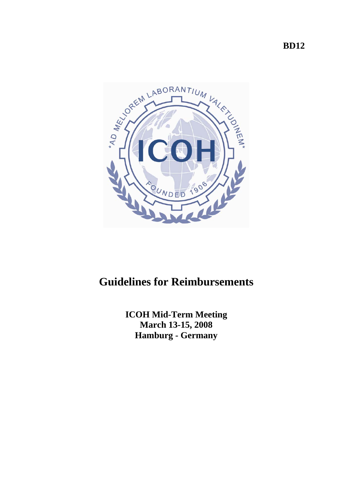



# **Guidelines for Reimbursements**

**ICOH Mid-Term Meeting March 13-15, 2008 Hamburg - Germany**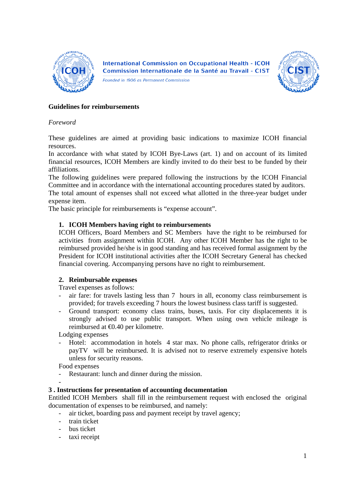

**International Commission on Occupational Health - ICOH** Commission Internationale de la Santé au Travail - CIST

Founded in 1906 as Permanent Commission



### **Guidelines for reimbursements**

### *Foreword*

These guidelines are aimed at providing basic indications to maximize ICOH financial resources.

In accordance with what stated by ICOH Bye-Laws (art. 1) and on account of its limited financial resources, ICOH Members are kindly invited to do their best to be funded by their affiliations.

The following guidelines were prepared following the instructions by the ICOH Financial Committee and in accordance with the international accounting procedures stated by auditors.

The total amount of expenses shall not exceed what allotted in the three-year budget under expense item.

The basic principle for reimbursements is "expense account".

#### **1. ICOH Members having right to reimbursements**

ICOH Officers, Board Members and SC Members have the right to be reimbursed for activities from assignment within ICOH. Any other ICOH Member has the right to be reimbursed provided he/she is in good standing and has received formal assignment by the President for ICOH institutional activities after the ICOH Secretary General has checked financial covering. Accompanying persons have no right to reimbursement.

## **2. Reimbursable expenses**

Travel expenses as follows:

- air fare: for travels lasting less than 7 hours in all, economy class reimbursement is provided; for travels exceeding 7 hours the lowest business class tariff is suggested.
- Ground transport: economy class trains, buses, taxis. For city displacements it is strongly advised to use public transport. When using own vehicle mileage is reimbursed at €0.40 per kilometre.

Lodging expenses

Hotel: accommodation in hotels 4 star max. No phone calls, refrigerator drinks or payTV will be reimbursed. It is advised not to reserve extremely expensive hotels unless for security reasons.

Food expenses

-

Restaurant: lunch and dinner during the mission.

## **3 . Instructions for presentation of accounting documentation**

Entitled ICOH Members shall fill in the reimbursement request with enclosed the original documentation of expenses to be reimbursed, and namely:

- air ticket, boarding pass and payment receipt by travel agency;
- train ticket
- bus ticket
- taxi receipt